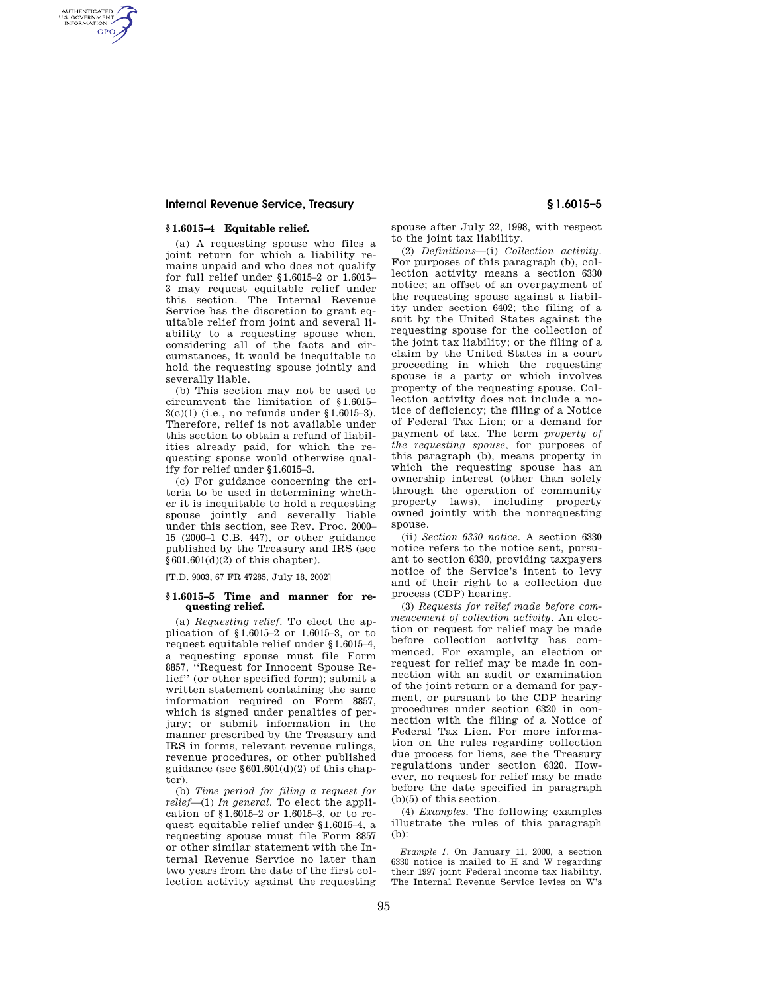## **Internal Revenue Service, Treasury § 1.6015–5**

## **§ 1.6015–4 Equitable relief.**

AUTHENTICATED<br>U.S. GOVERNMENT<br>INFORMATION **GPO** 

> (a) A requesting spouse who files a joint return for which a liability remains unpaid and who does not qualify for full relief under §1.6015–2 or 1.6015– 3 may request equitable relief under this section. The Internal Revenue Service has the discretion to grant equitable relief from joint and several liability to a requesting spouse when, considering all of the facts and circumstances, it would be inequitable to hold the requesting spouse jointly and severally liable.

> (b) This section may not be used to circumvent the limitation of §1.6015– 3(c)(1) (i.e., no refunds under §1.6015–3). Therefore, relief is not available under this section to obtain a refund of liabilities already paid, for which the requesting spouse would otherwise qualify for relief under §1.6015–3.

> (c) For guidance concerning the criteria to be used in determining whether it is inequitable to hold a requesting spouse jointly and severally liable under this section, see Rev. Proc. 2000– 15 (2000–1 C.B. 447), or other guidance published by the Treasury and IRS (see  $§601.601(d)(2)$  of this chapter).

[T.D. 9003, 67 FR 47285, July 18, 2002]

### **§ 1.6015–5 Time and manner for requesting relief.**

(a) *Requesting relief.* To elect the application of §1.6015–2 or 1.6015–3, or to request equitable relief under §1.6015–4, a requesting spouse must file Form 8857, ''Request for Innocent Spouse Relief'' (or other specified form); submit a written statement containing the same information required on Form 8857, which is signed under penalties of perjury; or submit information in the manner prescribed by the Treasury and IRS in forms, relevant revenue rulings, revenue procedures, or other published guidance (see  $$601.601(d)(2)$  of this chapter).

(b) *Time period for filing a request for relief*—(1) *In general.* To elect the application of §1.6015–2 or 1.6015–3, or to request equitable relief under §1.6015–4, a requesting spouse must file Form 8857 or other similar statement with the Internal Revenue Service no later than two years from the date of the first collection activity against the requesting spouse after July 22, 1998, with respect to the joint tax liability.

(2) *Definitions*—(i) *Collection activity.*  For purposes of this paragraph (b), collection activity means a section 6330 notice; an offset of an overpayment of the requesting spouse against a liability under section 6402; the filing of a suit by the United States against the requesting spouse for the collection of the joint tax liability; or the filing of a claim by the United States in a court proceeding in which the requesting spouse is a party or which involves property of the requesting spouse. Collection activity does not include a notice of deficiency; the filing of a Notice of Federal Tax Lien; or a demand for payment of tax. The term *property of the requesting spouse,* for purposes of this paragraph (b), means property in which the requesting spouse has an ownership interest (other than solely through the operation of community property laws), including property owned jointly with the nonrequesting spouse.

(ii) *Section 6330 notice.* A section 6330 notice refers to the notice sent, pursuant to section 6330, providing taxpayers notice of the Service's intent to levy and of their right to a collection due process (CDP) hearing.

(3) *Requests for relief made before commencement of collection activity.* An election or request for relief may be made before collection activity has commenced. For example, an election or request for relief may be made in connection with an audit or examination of the joint return or a demand for payment, or pursuant to the CDP hearing procedures under section 6320 in connection with the filing of a Notice of Federal Tax Lien. For more information on the rules regarding collection due process for liens, see the Treasury regulations under section 6320. However, no request for relief may be made before the date specified in paragraph (b)(5) of this section.

(4) *Examples.* The following examples illustrate the rules of this paragraph (b):

*Example 1.* On January 11, 2000, a section 6330 notice is mailed to H and W regarding their 1997 joint Federal income tax liability. The Internal Revenue Service levies on W's